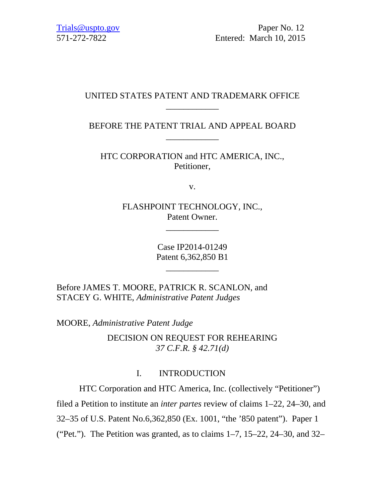Trials @uspto.gov Paper No. 12 571-272-7822 Entered: March 10, 2015

# UNITED STATES PATENT AND TRADEMARK OFFICE \_\_\_\_\_\_\_\_\_\_\_\_

BEFORE THE PATENT TRIAL AND APPEAL BOARD \_\_\_\_\_\_\_\_\_\_\_\_

HTC CORPORATION and HTC AMERICA, INC., Petitioner,

v.

FLASHPOINT TECHNOLOGY, INC., Patent Owner.

\_\_\_\_\_\_\_\_\_\_\_\_

Case IP2014-01249 Patent 6,362,850 B1

\_\_\_\_\_\_\_\_\_\_\_\_

Before JAMES T. MOORE, PATRICK R. SCANLON, and STACEY G. WHITE, *Administrative Patent Judges*

MOORE, *Administrative Patent Judge* 

DECISION ON REQUEST FOR REHEARING *37 C.F.R. § 42.71(d)* 

# I. INTRODUCTION

HTC Corporation and HTC America, Inc. (collectively "Petitioner")

filed a Petition to institute an *inter partes* review of claims 1–22, 24–30, and

32–35 of U.S. Patent No.6,362,850 (Ex. 1001, "the '850 patent"). Paper 1

("Pet."). The Petition was granted, as to claims  $1-7$ ,  $15-22$ ,  $24-30$ , and  $32-$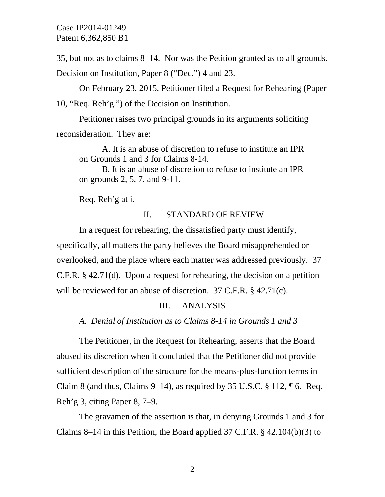35, but not as to claims 8–14. Nor was the Petition granted as to all grounds.

Decision on Institution, Paper 8 ("Dec.") 4 and 23.

On February 23, 2015, Petitioner filed a Request for Rehearing (Paper 10, "Req. Reh'g.") of the Decision on Institution.

Petitioner raises two principal grounds in its arguments soliciting reconsideration. They are:

A. It is an abuse of discretion to refuse to institute an IPR on Grounds 1 and 3 for Claims 8-14.

B. It is an abuse of discretion to refuse to institute an IPR on grounds 2, 5, 7, and 9-11.

Req. Reh'g at i.

### II. STANDARD OF REVIEW

In a request for rehearing, the dissatisfied party must identify, specifically, all matters the party believes the Board misapprehended or overlooked, and the place where each matter was addressed previously. 37 C.F.R. § 42.71(d). Upon a request for rehearing, the decision on a petition will be reviewed for an abuse of discretion. 37 C.F.R. § 42.71(c).

### III. ANALYSIS

*A. Denial of Institution as to Claims 8-14 in Grounds 1 and 3* 

 The Petitioner, in the Request for Rehearing, asserts that the Board abused its discretion when it concluded that the Petitioner did not provide sufficient description of the structure for the means-plus-function terms in Claim 8 (and thus, Claims 9–14), as required by 35 U.S.C.  $\S 112$ ,  $\P 6$ . Req. Reh'g 3, citing Paper 8, 7–9.

 The gravamen of the assertion is that, in denying Grounds 1 and 3 for Claims 8–14 in this Petition, the Board applied 37 C.F.R. § 42.104(b)(3) to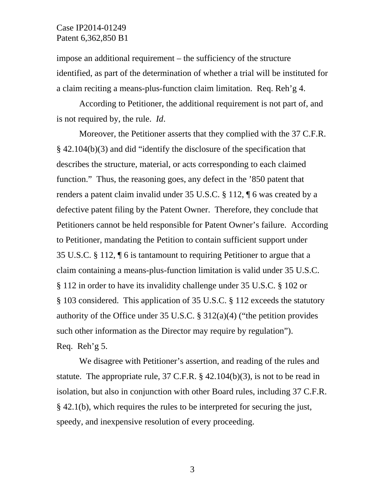impose an additional requirement – the sufficiency of the structure identified, as part of the determination of whether a trial will be instituted for a claim reciting a means-plus-function claim limitation. Req. Reh'g 4.

 According to Petitioner, the additional requirement is not part of, and is not required by, the rule. *Id*.

 Moreover, the Petitioner asserts that they complied with the 37 C.F.R. § 42.104(b)(3) and did "identify the disclosure of the specification that describes the structure, material, or acts corresponding to each claimed function." Thus, the reasoning goes, any defect in the '850 patent that renders a patent claim invalid under 35 U.S.C. § 112, ¶ 6 was created by a defective patent filing by the Patent Owner. Therefore, they conclude that Petitioners cannot be held responsible for Patent Owner's failure. According to Petitioner, mandating the Petition to contain sufficient support under 35 U.S.C. § 112, ¶ 6 is tantamount to requiring Petitioner to argue that a claim containing a means-plus-function limitation is valid under 35 U.S.C. § 112 in order to have its invalidity challenge under 35 U.S.C. § 102 or § 103 considered. This application of 35 U.S.C. § 112 exceeds the statutory authority of the Office under 35 U.S.C. § 312(a)(4) ("the petition provides such other information as the Director may require by regulation"). Req. Reh'g 5.

 We disagree with Petitioner's assertion, and reading of the rules and statute. The appropriate rule,  $37 \text{ C.F.R.}$  §  $42.104(b)(3)$ , is not to be read in isolation, but also in conjunction with other Board rules, including 37 C.F.R. § 42.1(b), which requires the rules to be interpreted for securing the just, speedy, and inexpensive resolution of every proceeding.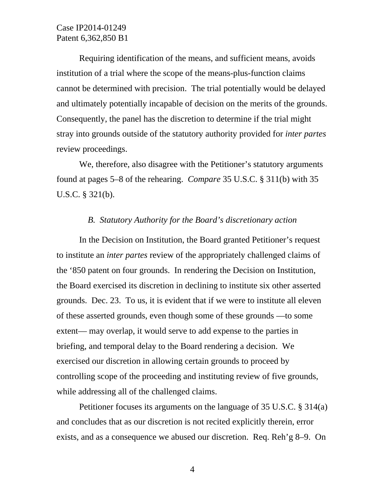Requiring identification of the means, and sufficient means, avoids institution of a trial where the scope of the means-plus-function claims cannot be determined with precision. The trial potentially would be delayed and ultimately potentially incapable of decision on the merits of the grounds. Consequently, the panel has the discretion to determine if the trial might stray into grounds outside of the statutory authority provided for *inter partes* review proceedings.

We, therefore, also disagree with the Petitioner's statutory arguments found at pages 5–8 of the rehearing. *Compare* 35 U.S.C. § 311(b) with 35 U.S.C. § 321(b).

## *B. Statutory Authority for the Board's discretionary action*

In the Decision on Institution, the Board granted Petitioner's request to institute an *inter partes* review of the appropriately challenged claims of the '850 patent on four grounds. In rendering the Decision on Institution, the Board exercised its discretion in declining to institute six other asserted grounds. Dec. 23. To us, it is evident that if we were to institute all eleven of these asserted grounds, even though some of these grounds —to some extent— may overlap, it would serve to add expense to the parties in briefing, and temporal delay to the Board rendering a decision. We exercised our discretion in allowing certain grounds to proceed by controlling scope of the proceeding and instituting review of five grounds, while addressing all of the challenged claims.

Petitioner focuses its arguments on the language of 35 U.S.C. § 314(a) and concludes that as our discretion is not recited explicitly therein, error exists, and as a consequence we abused our discretion. Req. Reh'g 8–9. On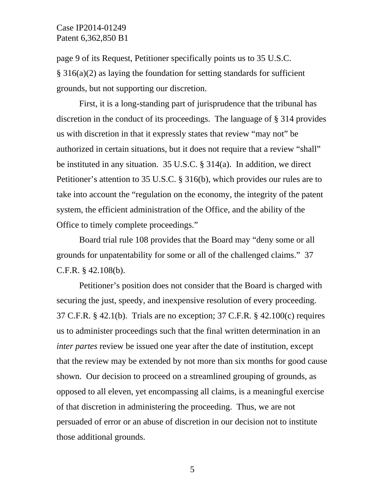page 9 of its Request, Petitioner specifically points us to 35 U.S.C. § 316(a)(2) as laying the foundation for setting standards for sufficient grounds, but not supporting our discretion.

First, it is a long-standing part of jurisprudence that the tribunal has discretion in the conduct of its proceedings. The language of § 314 provides us with discretion in that it expressly states that review "may not" be authorized in certain situations, but it does not require that a review "shall" be instituted in any situation. 35 U.S.C. § 314(a). In addition, we direct Petitioner's attention to 35 U.S.C. § 316(b), which provides our rules are to take into account the "regulation on the economy, the integrity of the patent system, the efficient administration of the Office, and the ability of the Office to timely complete proceedings."

Board trial rule 108 provides that the Board may "deny some or all grounds for unpatentability for some or all of the challenged claims." 37 C.F.R. § 42.108(b).

Petitioner's position does not consider that the Board is charged with securing the just, speedy, and inexpensive resolution of every proceeding. 37 C.F.R. § 42.1(b). Trials are no exception; 37 C.F.R. § 42.100(c) requires us to administer proceedings such that the final written determination in an *inter partes* review be issued one year after the date of institution, except that the review may be extended by not more than six months for good cause shown. Our decision to proceed on a streamlined grouping of grounds, as opposed to all eleven, yet encompassing all claims, is a meaningful exercise of that discretion in administering the proceeding. Thus, we are not persuaded of error or an abuse of discretion in our decision not to institute those additional grounds.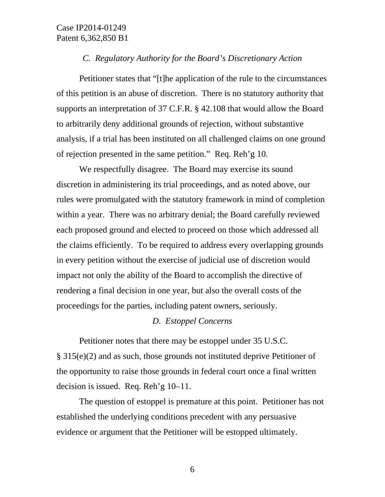#### *C. Regulatory Authority for the Board's Discretionary Action*

Petitioner states that "[t]he application of the rule to the circumstances of this petition is an abuse of discretion. There is no statutory authority that supports an interpretation of 37 C.F.R. § 42.108 that would allow the Board to arbitrarily deny additional grounds of rejection, without substantive analysis, if a trial has been instituted on all challenged claims on one ground of rejection presented in the same petition." Req. Reh'g 10.

We respectfully disagree. The Board may exercise its sound discretion in administering its trial proceedings, and as noted above, our rules were promulgated with the statutory framework in mind of completion within a year. There was no arbitrary denial; the Board carefully reviewed each proposed ground and elected to proceed on those which addressed all the claims efficiently. To be required to address every overlapping grounds in every petition without the exercise of judicial use of discretion would impact not only the ability of the Board to accomplish the directive of rendering a final decision in one year, but also the overall costs of the proceedings for the parties, including patent owners, seriously.

### *D. Estoppel Concerns*

Petitioner notes that there may be estoppel under 35 U.S.C. § 315(e)(2) and as such, those grounds not instituted deprive Petitioner of the opportunity to raise those grounds in federal court once a final written decision is issued. Req. Reh'g 10–11.

The question of estoppel is premature at this point. Petitioner has not established the underlying conditions precedent with any persuasive evidence or argument that the Petitioner will be estopped ultimately.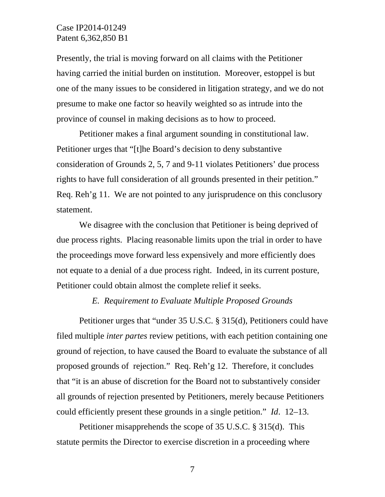Presently, the trial is moving forward on all claims with the Petitioner having carried the initial burden on institution. Moreover, estoppel is but one of the many issues to be considered in litigation strategy, and we do not presume to make one factor so heavily weighted so as intrude into the province of counsel in making decisions as to how to proceed.

Petitioner makes a final argument sounding in constitutional law. Petitioner urges that "[t]he Board's decision to deny substantive consideration of Grounds 2, 5, 7 and 9-11 violates Petitioners' due process rights to have full consideration of all grounds presented in their petition." Req. Reh'g 11. We are not pointed to any jurisprudence on this conclusory statement.

We disagree with the conclusion that Petitioner is being deprived of due process rights. Placing reasonable limits upon the trial in order to have the proceedings move forward less expensively and more efficiently does not equate to a denial of a due process right. Indeed, in its current posture, Petitioner could obtain almost the complete relief it seeks.

### *E. Requirement to Evaluate Multiple Proposed Grounds*

Petitioner urges that "under 35 U.S.C. § 315(d), Petitioners could have filed multiple *inter partes* review petitions, with each petition containing one ground of rejection, to have caused the Board to evaluate the substance of all proposed grounds of rejection." Req. Reh'g 12. Therefore, it concludes that "it is an abuse of discretion for the Board not to substantively consider all grounds of rejection presented by Petitioners, merely because Petitioners could efficiently present these grounds in a single petition." *Id*. 12–13.

Petitioner misapprehends the scope of 35 U.S.C. § 315(d). This statute permits the Director to exercise discretion in a proceeding where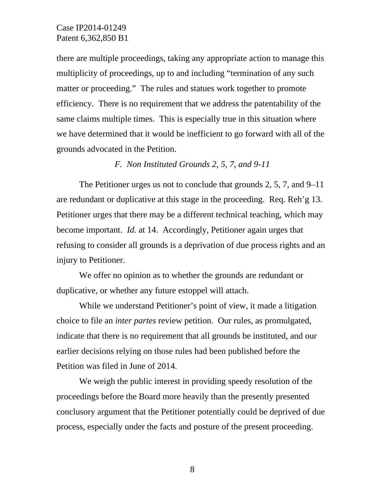there are multiple proceedings, taking any appropriate action to manage this multiplicity of proceedings, up to and including "termination of any such matter or proceeding." The rules and statues work together to promote efficiency. There is no requirement that we address the patentability of the same claims multiple times. This is especially true in this situation where we have determined that it would be inefficient to go forward with all of the grounds advocated in the Petition.

*F. Non Instituted Grounds 2, 5, 7, and 9-11* 

The Petitioner urges us not to conclude that grounds 2, 5, 7, and 9–11 are redundant or duplicative at this stage in the proceeding. Req. Reh'g 13. Petitioner urges that there may be a different technical teaching, which may become important. *Id.* at 14. Accordingly, Petitioner again urges that refusing to consider all grounds is a deprivation of due process rights and an injury to Petitioner.

We offer no opinion as to whether the grounds are redundant or duplicative, or whether any future estoppel will attach.

While we understand Petitioner's point of view, it made a litigation choice to file an *inter partes* review petition. Our rules, as promulgated, indicate that there is no requirement that all grounds be instituted, and our earlier decisions relying on those rules had been published before the Petition was filed in June of 2014.

We weigh the public interest in providing speedy resolution of the proceedings before the Board more heavily than the presently presented conclusory argument that the Petitioner potentially could be deprived of due process, especially under the facts and posture of the present proceeding.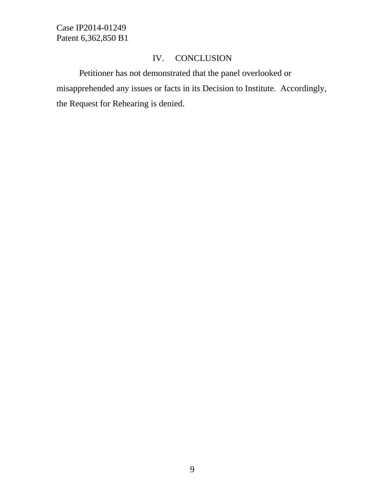# IV. CONCLUSION

Petitioner has not demonstrated that the panel overlooked or misapprehended any issues or facts in its Decision to Institute. Accordingly, the Request for Rehearing is denied.